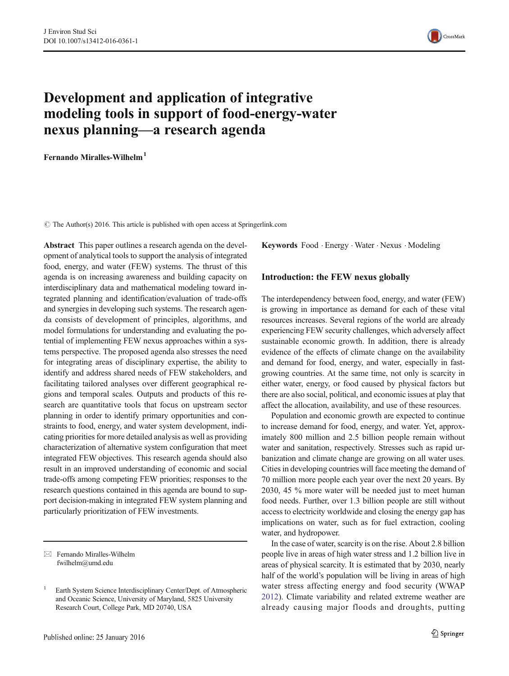

# Development and application of integrative modeling tools in support of food-energy-water nexus planning—a research agenda

Fernando Miralles-Wilhelm<sup>1</sup>

 $\odot$  The Author(s) 2016. This article is published with open access at Springerlink.com

Abstract This paper outlines a research agenda on the development of analytical tools to support the analysis of integrated food, energy, and water (FEW) systems. The thrust of this agenda is on increasing awareness and building capacity on interdisciplinary data and mathematical modeling toward integrated planning and identification/evaluation of trade-offs and synergies in developing such systems. The research agenda consists of development of principles, algorithms, and model formulations for understanding and evaluating the potential of implementing FEW nexus approaches within a systems perspective. The proposed agenda also stresses the need for integrating areas of disciplinary expertise, the ability to identify and address shared needs of FEW stakeholders, and facilitating tailored analyses over different geographical regions and temporal scales. Outputs and products of this research are quantitative tools that focus on upstream sector planning in order to identify primary opportunities and constraints to food, energy, and water system development, indicating priorities for more detailed analysis as well as providing characterization of alternative system configuration that meet integrated FEW objectives. This research agenda should also result in an improved understanding of economic and social trade-offs among competing FEW priorities; responses to the research questions contained in this agenda are bound to support decision-making in integrated FEW system planning and particularly prioritization of FEW investments.

Keywords Food . Energy . Water . Nexus . Modeling

#### Introduction: the FEW nexus globally

The interdependency between food, energy, and water (FEW) is growing in importance as demand for each of these vital resources increases. Several regions of the world are already experiencing FEW security challenges, which adversely affect sustainable economic growth. In addition, there is already evidence of the effects of climate change on the availability and demand for food, energy, and water, especially in fastgrowing countries. At the same time, not only is scarcity in either water, energy, or food caused by physical factors but there are also social, political, and economic issues at play that affect the allocation, availability, and use of these resources.

Population and economic growth are expected to continue to increase demand for food, energy, and water. Yet, approximately 800 million and 2.5 billion people remain without water and sanitation, respectively. Stresses such as rapid urbanization and climate change are growing on all water uses. Cities in developing countries will face meeting the demand of 70 million more people each year over the next 20 years. By 2030, 45 % more water will be needed just to meet human food needs. Further, over 1.3 billion people are still without access to electricity worldwide and closing the energy gap has implications on water, such as for fuel extraction, cooling water, and hydropower.

In the case of water, scarcity is on the rise. About 2.8 billion people live in areas of high water stress and 1.2 billion live in areas of physical scarcity. It is estimated that by 2030, nearly half of the world's population will be living in areas of high water stress affecting energy and food security (WWAP 2012). Climate variability and related extreme weather are already causing major floods and droughts, putting

 $\boxtimes$  Fernando Miralles-Wilhelm fwilhelm@umd.edu

<sup>1</sup> Earth System Science Interdisciplinary Center/Dept. of Atmospheric and Oceanic Science, University of Maryland, 5825 University Research Court, College Park, MD 20740, USA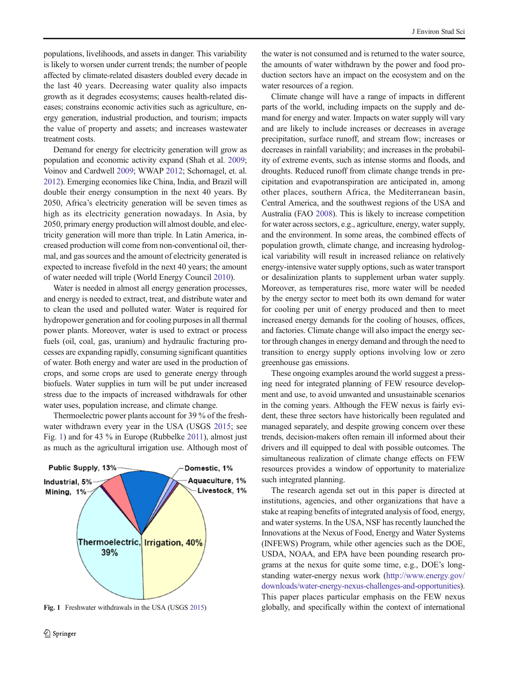populations, livelihoods, and assets in danger. This variability is likely to worsen under current trends; the number of people affected by climate-related disasters doubled every decade in the last 40 years. Decreasing water quality also impacts growth as it degrades ecosystems; causes health-related diseases; constrains economic activities such as agriculture, energy generation, industrial production, and tourism; impacts the value of property and assets; and increases wastewater treatment costs.

Demand for energy for electricity generation will grow as population and economic activity expand (Shah et al. 2009; Voinov and Cardwell 2009; WWAP 2012; Schornagel, et. al. 2012). Emerging economies like China, India, and Brazil will double their energy consumption in the next 40 years. By 2050, Africa's electricity generation will be seven times as high as its electricity generation nowadays. In Asia, by 2050, primary energy production will almost double, and electricity generation will more than triple. In Latin America, increased production will come from non-conventional oil, thermal, and gas sources and the amount of electricity generated is expected to increase fivefold in the next 40 years; the amount of water needed will triple (World Energy Council 2010).

Water is needed in almost all energy generation processes, and energy is needed to extract, treat, and distribute water and to clean the used and polluted water. Water is required for hydropower generation and for cooling purposes in all thermal power plants. Moreover, water is used to extract or process fuels (oil, coal, gas, uranium) and hydraulic fracturing processes are expanding rapidly, consuming significant quantities of water. Both energy and water are used in the production of crops, and some crops are used to generate energy through biofuels. Water supplies in turn will be put under increased stress due to the impacts of increased withdrawals for other water uses, population increase, and climate change.

Thermoelectric power plants account for 39 % of the freshwater withdrawn every year in the USA (USGS 2015; see Fig. 1) and for 43 % in Europe (Rubbelke 2011), almost just as much as the agricultural irrigation use. Although most of



the water is not consumed and is returned to the water source, the amounts of water withdrawn by the power and food production sectors have an impact on the ecosystem and on the water resources of a region.

Climate change will have a range of impacts in different parts of the world, including impacts on the supply and demand for energy and water. Impacts on water supply will vary and are likely to include increases or decreases in average precipitation, surface runoff, and stream flow; increases or decreases in rainfall variability; and increases in the probability of extreme events, such as intense storms and floods, and droughts. Reduced runoff from climate change trends in precipitation and evapotranspiration are anticipated in, among other places, southern Africa, the Mediterranean basin, Central America, and the southwest regions of the USA and Australia (FAO 2008). This is likely to increase competition for water across sectors, e.g., agriculture, energy, water supply, and the environment. In some areas, the combined effects of population growth, climate change, and increasing hydrological variability will result in increased reliance on relatively energy-intensive water supply options, such as water transport or desalinization plants to supplement urban water supply. Moreover, as temperatures rise, more water will be needed by the energy sector to meet both its own demand for water for cooling per unit of energy produced and then to meet increased energy demands for the cooling of houses, offices, and factories. Climate change will also impact the energy sector through changes in energy demand and through the need to transition to energy supply options involving low or zero greenhouse gas emissions.

These ongoing examples around the world suggest a pressing need for integrated planning of FEW resource development and use, to avoid unwanted and unsustainable scenarios in the coming years. Although the FEW nexus is fairly evident, these three sectors have historically been regulated and managed separately, and despite growing concern over these trends, decision-makers often remain ill informed about their drivers and ill equipped to deal with possible outcomes. The simultaneous realization of climate change effects on FEW resources provides a window of opportunity to materialize such integrated planning.

The research agenda set out in this paper is directed at institutions, agencies, and other organizations that have a stake at reaping benefits of integrated analysis of food, energy, and water systems. In the USA, NSF has recently launched the Innovations at the Nexus of Food, Energy and Water Systems (INFEWS) Program, while other agencies such as the DOE, USDA, NOAA, and EPA have been pounding research programs at the nexus for quite some time, e.g., DOE's longstanding water-energy nexus work (http://www.energy.gov/ downloads/water-energy-nexus-challenges-and-opportunities). This paper places particular emphasis on the FEW nexus Fig. 1 Freshwater withdrawals in the USA (USGS 2015) globally, and specifically within the context of international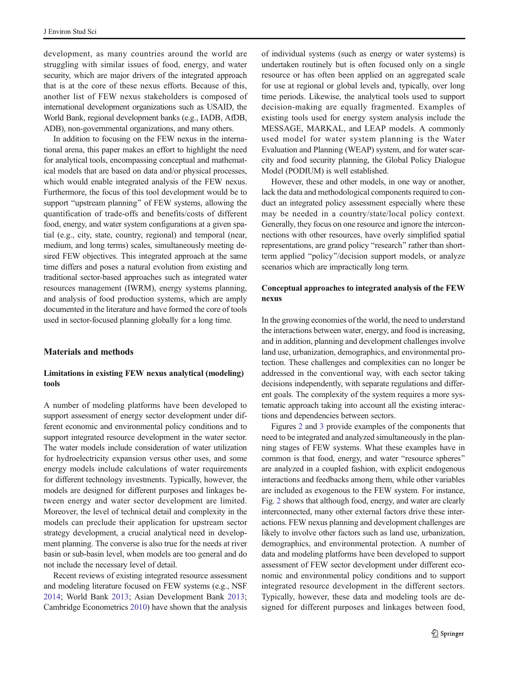development, as many countries around the world are struggling with similar issues of food, energy, and water security, which are major drivers of the integrated approach that is at the core of these nexus efforts. Because of this, another list of FEW nexus stakeholders is composed of international development organizations such as USAID, the World Bank, regional development banks (e.g., IADB, AfDB, ADB), non-governmental organizations, and many others.

In addition to focusing on the FEW nexus in the international arena, this paper makes an effort to highlight the need for analytical tools, encompassing conceptual and mathematical models that are based on data and/or physical processes, which would enable integrated analysis of the FEW nexus. Furthermore, the focus of this tool development would be to support "upstream planning" of FEW systems, allowing the quantification of trade-offs and benefits/costs of different food, energy, and water system configurations at a given spatial (e.g., city, state, country, regional) and temporal (near, medium, and long terms) scales, simultaneously meeting desired FEW objectives. This integrated approach at the same time differs and poses a natural evolution from existing and traditional sector-based approaches such as integrated water resources management (IWRM), energy systems planning, and analysis of food production systems, which are amply documented in the literature and have formed the core of tools used in sector-focused planning globally for a long time.

## Materials and methods

## Limitations in existing FEW nexus analytical (modeling) tools

A number of modeling platforms have been developed to support assessment of energy sector development under different economic and environmental policy conditions and to support integrated resource development in the water sector. The water models include consideration of water utilization for hydroelectricity expansion versus other uses, and some energy models include calculations of water requirements for different technology investments. Typically, however, the models are designed for different purposes and linkages between energy and water sector development are limited. Moreover, the level of technical detail and complexity in the models can preclude their application for upstream sector strategy development, a crucial analytical need in development planning. The converse is also true for the needs at river basin or sub-basin level, when models are too general and do not include the necessary level of detail.

Recent reviews of existing integrated resource assessment and modeling literature focused on FEW systems (e.g., NSF 2014; World Bank 2013; Asian Development Bank 2013; Cambridge Econometrics 2010) have shown that the analysis of individual systems (such as energy or water systems) is undertaken routinely but is often focused only on a single resource or has often been applied on an aggregated scale for use at regional or global levels and, typically, over long time periods. Likewise, the analytical tools used to support decision-making are equally fragmented. Examples of existing tools used for energy system analysis include the MESSAGE, MARKAL, and LEAP models. A commonly used model for water system planning is the Water Evaluation and Planning (WEAP) system, and for water scarcity and food security planning, the Global Policy Dialogue Model (PODIUM) is well established.

However, these and other models, in one way or another, lack the data and methodological components required to conduct an integrated policy assessment especially where these may be needed in a country/state/local policy context. Generally, they focus on one resource and ignore the interconnections with other resources, have overly simplified spatial representations, are grand policy "research" rather than shortterm applied "policy"/decision support models, or analyze scenarios which are impractically long term.

## Conceptual approaches to integrated analysis of the FEW nexus

In the growing economies of the world, the need to understand the interactions between water, energy, and food is increasing, and in addition, planning and development challenges involve land use, urbanization, demographics, and environmental protection. These challenges and complexities can no longer be addressed in the conventional way, with each sector taking decisions independently, with separate regulations and different goals. The complexity of the system requires a more systematic approach taking into account all the existing interactions and dependencies between sectors.

Figures 2 and 3 provide examples of the components that need to be integrated and analyzed simultaneously in the planning stages of FEW systems. What these examples have in common is that food, energy, and water "resource spheres" are analyzed in a coupled fashion, with explicit endogenous interactions and feedbacks among them, while other variables are included as exogenous to the FEW system. For instance, Fig. 2 shows that although food, energy, and water are clearly interconnected, many other external factors drive these interactions. FEW nexus planning and development challenges are likely to involve other factors such as land use, urbanization, demographics, and environmental protection. A number of data and modeling platforms have been developed to support assessment of FEW sector development under different economic and environmental policy conditions and to support integrated resource development in the different sectors. Typically, however, these data and modeling tools are designed for different purposes and linkages between food,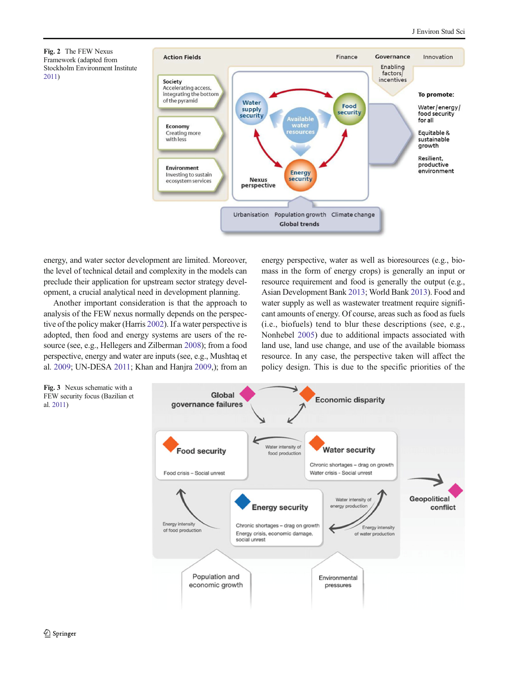



energy, and water sector development are limited. Moreover, the level of technical detail and complexity in the models can preclude their application for upstream sector strategy development, a crucial analytical need in development planning.

Another important consideration is that the approach to analysis of the FEW nexus normally depends on the perspective of the policy maker (Harris 2002). If a water perspective is adopted, then food and energy systems are users of the resource (see, e.g., Hellegers and Zilberman 2008); from a food perspective, energy and water are inputs (see, e.g., Mushtaq et al. 2009; UN-DESA 2011; Khan and Hanjra 2009,); from an energy perspective, water as well as bioresources (e.g., biomass in the form of energy crops) is generally an input or resource requirement and food is generally the output (e.g., Asian Development Bank 2013; World Bank 2013). Food and water supply as well as wastewater treatment require significant amounts of energy. Of course, areas such as food as fuels (i.e., biofuels) tend to blur these descriptions (see, e.g., Nonhebel 2005) due to additional impacts associated with land use, land use change, and use of the available biomass resource. In any case, the perspective taken will affect the policy design. This is due to the specific priorities of the



al. 2011)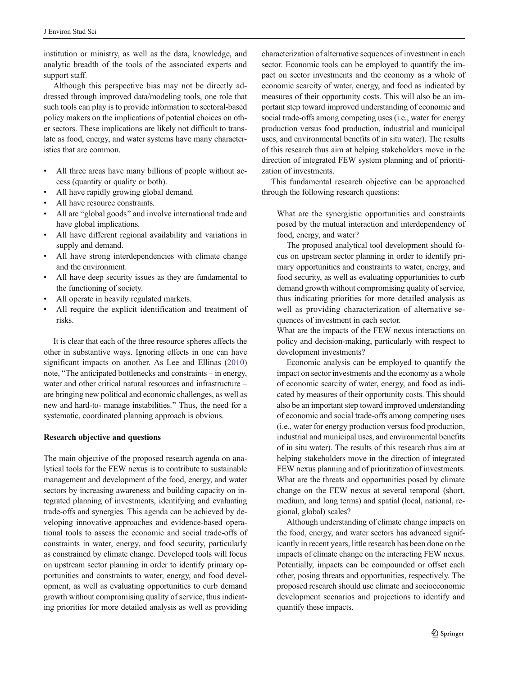institution or ministry, as well as the data, knowledge, and analytic breadth of the tools of the associated experts and support staff.

Although this perspective bias may not be directly addressed through improved data/modeling tools, one role that such tools can play is to provide information to sectoral-based policy makers on the implications of potential choices on other sectors. These implications are likely not difficult to translate as food, energy, and water systems have many characteristics that are common.

- & All three areas have many billions of people without access (quantity or quality or both).
- All have rapidly growing global demand.
- All have resource constraints.
- All are "global goods" and involve international trade and have global implications.
- & All have different regional availability and variations in supply and demand.
- All have strong interdependencies with climate change and the environment.
- All have deep security issues as they are fundamental to the functioning of society.
- All operate in heavily regulated markets.
- All require the explicit identification and treatment of risks.

It is clear that each of the three resource spheres affects the other in substantive ways. Ignoring effects in one can have significant impacts on another. As Lee and Ellinas (2010) note, "The anticipated bottlenecks and constraints – in energy, water and other critical natural resources and infrastructure – are bringing new political and economic challenges, as well as new and hard-to- manage instabilities.^ Thus, the need for a systematic, coordinated planning approach is obvious.

#### Research objective and questions

The main objective of the proposed research agenda on analytical tools for the FEW nexus is to contribute to sustainable management and development of the food, energy, and water sectors by increasing awareness and building capacity on integrated planning of investments, identifying and evaluating trade-offs and synergies. This agenda can be achieved by developing innovative approaches and evidence-based operational tools to assess the economic and social trade-offs of constraints in water, energy, and food security, particularly as constrained by climate change. Developed tools will focus on upstream sector planning in order to identify primary opportunities and constraints to water, energy, and food development, as well as evaluating opportunities to curb demand growth without compromising quality of service, thus indicating priorities for more detailed analysis as well as providing

characterization of alternative sequences of investment in each sector. Economic tools can be employed to quantify the impact on sector investments and the economy as a whole of economic scarcity of water, energy, and food as indicated by measures of their opportunity costs. This will also be an important step toward improved understanding of economic and social trade-offs among competing uses (i.e., water for energy production versus food production, industrial and municipal uses, and environmental benefits of in situ water). The results of this research thus aim at helping stakeholders move in the direction of integrated FEW system planning and of prioritization of investments.

This fundamental research objective can be approached through the following research questions:

What are the synergistic opportunities and constraints posed by the mutual interaction and interdependency of food, energy, and water?

The proposed analytical tool development should focus on upstream sector planning in order to identify primary opportunities and constraints to water, energy, and food security, as well as evaluating opportunities to curb demand growth without compromising quality of service, thus indicating priorities for more detailed analysis as well as providing characterization of alternative sequences of investment in each sector.

What are the impacts of the FEW nexus interactions on policy and decision-making, particularly with respect to development investments?

Economic analysis can be employed to quantify the impact on sector investments and the economy as a whole of economic scarcity of water, energy, and food as indicated by measures of their opportunity costs. This should also be an important step toward improved understanding of economic and social trade-offs among competing uses (i.e., water for energy production versus food production, industrial and municipal uses, and environmental benefits of in situ water). The results of this research thus aim at helping stakeholders move in the direction of integrated FEW nexus planning and of prioritization of investments. What are the threats and opportunities posed by climate change on the FEW nexus at several temporal (short, medium, and long terms) and spatial (local, national, regional, global) scales?

Although understanding of climate change impacts on the food, energy, and water sectors has advanced significantly in recent years, little research has been done on the impacts of climate change on the interacting FEW nexus. Potentially, impacts can be compounded or offset each other, posing threats and opportunities, respectively. The proposed research should use climate and socioeconomic development scenarios and projections to identify and quantify these impacts.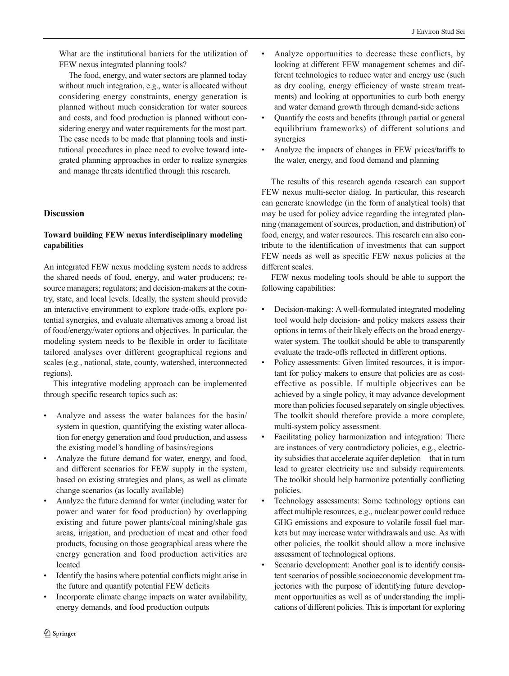What are the institutional barriers for the utilization of FEW nexus integrated planning tools?

The food, energy, and water sectors are planned today without much integration, e.g., water is allocated without considering energy constraints, energy generation is planned without much consideration for water sources and costs, and food production is planned without considering energy and water requirements for the most part. The case needs to be made that planning tools and institutional procedures in place need to evolve toward integrated planning approaches in order to realize synergies and manage threats identified through this research.

# **Discussion**

# Toward building FEW nexus interdisciplinary modeling capabilities

An integrated FEW nexus modeling system needs to address the shared needs of food, energy, and water producers; resource managers; regulators; and decision-makers at the country, state, and local levels. Ideally, the system should provide an interactive environment to explore trade-offs, explore potential synergies, and evaluate alternatives among a broad list of food/energy/water options and objectives. In particular, the modeling system needs to be flexible in order to facilitate tailored analyses over different geographical regions and scales (e.g., national, state, county, watershed, interconnected regions).

This integrative modeling approach can be implemented through specific research topics such as:

- & Analyze and assess the water balances for the basin/ system in question, quantifying the existing water allocation for energy generation and food production, and assess the existing model's handling of basins/regions
- & Analyze the future demand for water, energy, and food, and different scenarios for FEW supply in the system, based on existing strategies and plans, as well as climate change scenarios (as locally available)
- & Analyze the future demand for water (including water for power and water for food production) by overlapping existing and future power plants/coal mining/shale gas areas, irrigation, and production of meat and other food products, focusing on those geographical areas where the energy generation and food production activities are located
- Identify the basins where potential conflicts might arise in the future and quantify potential FEW deficits
- Incorporate climate change impacts on water availability, energy demands, and food production outputs
- & Analyze opportunities to decrease these conflicts, by looking at different FEW management schemes and different technologies to reduce water and energy use (such as dry cooling, energy efficiency of waste stream treatments) and looking at opportunities to curb both energy and water demand growth through demand-side actions
- Quantify the costs and benefits (through partial or general equilibrium frameworks) of different solutions and synergies
- & Analyze the impacts of changes in FEW prices/tariffs to the water, energy, and food demand and planning

The results of this research agenda research can support FEW nexus multi-sector dialog. In particular, this research can generate knowledge (in the form of analytical tools) that may be used for policy advice regarding the integrated planning (management of sources, production, and distribution) of food, energy, and water resources. This research can also contribute to the identification of investments that can support FEW needs as well as specific FEW nexus policies at the different scales.

FEW nexus modeling tools should be able to support the following capabilities:

- & Decision-making: A well-formulated integrated modeling tool would help decision- and policy makers assess their options in terms of their likely effects on the broad energywater system. The toolkit should be able to transparently evaluate the trade-offs reflected in different options.
- Policy assessments: Given limited resources, it is important for policy makers to ensure that policies are as costeffective as possible. If multiple objectives can be achieved by a single policy, it may advance development more than policies focused separately on single objectives. The toolkit should therefore provide a more complete, multi-system policy assessment.
- Facilitating policy harmonization and integration: There are instances of very contradictory policies, e.g., electricity subsidies that accelerate aquifer depletion—that in turn lead to greater electricity use and subsidy requirements. The toolkit should help harmonize potentially conflicting policies.
- Technology assessments: Some technology options can affect multiple resources, e.g., nuclear power could reduce GHG emissions and exposure to volatile fossil fuel markets but may increase water withdrawals and use. As with other policies, the toolkit should allow a more inclusive assessment of technological options.
- Scenario development: Another goal is to identify consistent scenarios of possible socioeconomic development trajectories with the purpose of identifying future development opportunities as well as of understanding the implications of different policies. This is important for exploring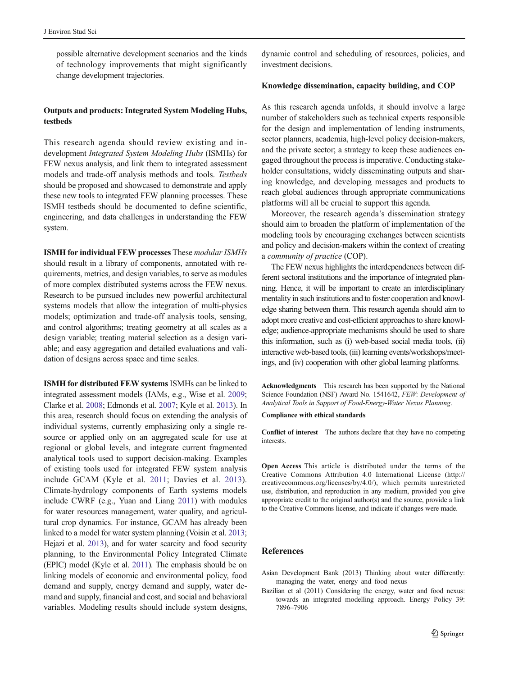possible alternative development scenarios and the kinds of technology improvements that might significantly change development trajectories.

## Outputs and products: Integrated System Modeling Hubs, testbeds

This research agenda should review existing and indevelopment Integrated System Modeling Hubs (ISMHs) for FEW nexus analysis, and link them to integrated assessment models and trade-off analysis methods and tools. Testbeds should be proposed and showcased to demonstrate and apply these new tools to integrated FEW planning processes. These ISMH testbeds should be documented to define scientific, engineering, and data challenges in understanding the FEW system.

ISMH for individual FEW processes These modular ISMHs should result in a library of components, annotated with requirements, metrics, and design variables, to serve as modules of more complex distributed systems across the FEW nexus. Research to be pursued includes new powerful architectural systems models that allow the integration of multi-physics models; optimization and trade-off analysis tools, sensing, and control algorithms; treating geometry at all scales as a design variable; treating material selection as a design variable; and easy aggregation and detailed evaluations and validation of designs across space and time scales.

ISMH for distributed FEW systems ISMHs can be linked to integrated assessment models (IAMs, e.g., Wise et al. 2009; Clarke et al. 2008; Edmonds et al. 2007; Kyle et al. 2013). In this area, research should focus on extending the analysis of individual systems, currently emphasizing only a single resource or applied only on an aggregated scale for use at regional or global levels, and integrate current fragmented analytical tools used to support decision-making. Examples of existing tools used for integrated FEW system analysis include GCAM (Kyle et al. 2011; Davies et al. 2013). Climate-hydrology components of Earth systems models include CWRF (e.g., Yuan and Liang 2011) with modules for water resources management, water quality, and agricultural crop dynamics. For instance, GCAM has already been linked to a model for water system planning (Voisin et al. 2013; Hejazi et al. 2013), and for water scarcity and food security planning, to the Environmental Policy Integrated Climate (EPIC) model (Kyle et al. 2011). The emphasis should be on linking models of economic and environmental policy, food demand and supply, energy demand and supply, water demand and supply, financial and cost, and social and behavioral variables. Modeling results should include system designs,

dynamic control and scheduling of resources, policies, and investment decisions.

## Knowledge dissemination, capacity building, and COP

As this research agenda unfolds, it should involve a large number of stakeholders such as technical experts responsible for the design and implementation of lending instruments, sector planners, academia, high-level policy decision-makers, and the private sector; a strategy to keep these audiences engaged throughout the process is imperative. Conducting stakeholder consultations, widely disseminating outputs and sharing knowledge, and developing messages and products to reach global audiences through appropriate communications platforms will all be crucial to support this agenda.

Moreover, the research agenda's dissemination strategy should aim to broaden the platform of implementation of the modeling tools by encouraging exchanges between scientists and policy and decision-makers within the context of creating a community of practice (COP).

The FEW nexus highlights the interdependences between different sectoral institutions and the importance of integrated planning. Hence, it will be important to create an interdisciplinary mentality in such institutions and to foster cooperation and knowledge sharing between them. This research agenda should aim to adopt more creative and cost-efficient approaches to share knowledge; audience-appropriate mechanisms should be used to share this information, such as (i) web-based social media tools, (ii) interactive web-based tools, (iii) learning events/workshops/meetings, and (iv) cooperation with other global learning platforms.

Acknowledgments This research has been supported by the National Science Foundation (NSF) Award No. 1541642, FEW: Development of Analytical Tools in Support of Food-Energy-Water Nexus Planning.

## Compliance with ethical standards

Conflict of interest The authors declare that they have no competing interests.

Open Access This article is distributed under the terms of the Creative Commons Attribution 4.0 International License (http:// creativecommons.org/licenses/by/4.0/), which permits unrestricted use, distribution, and reproduction in any medium, provided you give appropriate credit to the original author(s) and the source, provide a link to the Creative Commons license, and indicate if changes were made.

# **References**

- Asian Development Bank (2013) Thinking about water differently: managing the water, energy and food nexus
- Bazilian et al (2011) Considering the energy, water and food nexus: towards an integrated modelling approach. Energy Policy 39: 7896–7906